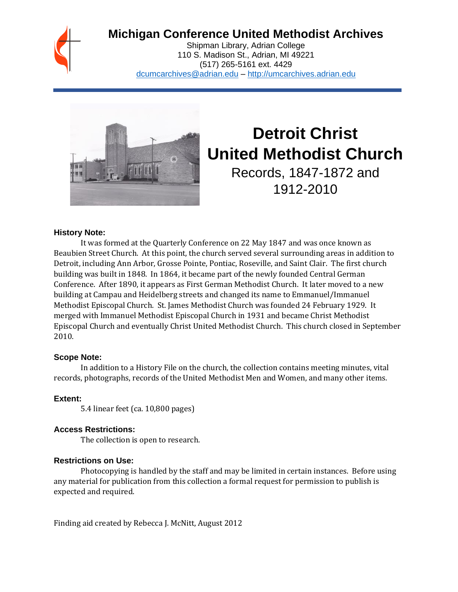# **Michigan Conference United Methodist Archives**

Shipman Library, Adrian College 110 S. Madison St., Adrian, MI 49221 (517) 265-5161 ext. 4429 [dcumcarchives@adrian.edu](mailto:dcumcarchives@adrian.edu) – [http://umcarchives.adrian.edu](http://umcarchives.adrian.edu/)



# **Detroit Christ United Methodist Church** Records, 1847-1872 and

1912-2010

#### **History Note:**

It was formed at the Quarterly Conference on 22 May 1847 and was once known as Beaubien Street Church. At this point, the church served several surrounding areas in addition to Detroit, including Ann Arbor, Grosse Pointe, Pontiac, Roseville, and Saint Clair. The first church building was built in 1848. In 1864, it became part of the newly founded Central German Conference. After 1890, it appears as First German Methodist Church. It later moved to a new building at Campau and Heidelberg streets and changed its name to Emmanuel/Immanuel Methodist Episcopal Church. St. James Methodist Church was founded 24 February 1929. It merged with Immanuel Methodist Episcopal Church in 1931 and became Christ Methodist Episcopal Church and eventually Christ United Methodist Church. This church closed in September 2010.

#### **Scope Note:**

In addition to a History File on the church, the collection contains meeting minutes, vital records, photographs, records of the United Methodist Men and Women, and many other items.

# **Extent:**

5.4 linear feet (ca. 10,800 pages)

# **Access Restrictions:**

The collection is open to research.

# **Restrictions on Use:**

Photocopying is handled by the staff and may be limited in certain instances. Before using any material for publication from this collection a formal request for permission to publish is expected and required.

Finding aid created by Rebecca J. McNitt, August 2012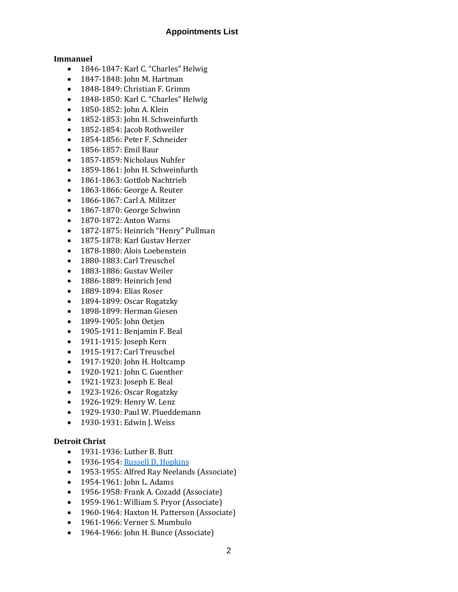#### **Appointments List**

#### **Immanuel**

- 1846-1847: Karl C. "Charles" Helwig
- 1847-1848: John M. Hartman
- 1848-1849: Christian F. Grimm
- 1848-1850: Karl C. "Charles" Helwig
- 1850-1852: John A. Klein
- 1852-1853: John H. Schweinfurth
- 1852-1854: Jacob Rothweiler
- 1854-1856: Peter F. Schneider
- 1856-1857: Emil Baur
- 1857-1859: Nicholaus Nuhfer
- 1859-1861: John H. Schweinfurth
- 1861-1863: Gottlob Nachtrieb
- 1863-1866: George A. Reuter
- 1866-1867: Carl A. Militzer
- 1867-1870: George Schwinn
- 1870-1872: Anton Warns
- 1872-1875: Heinrich "Henry" Pullman
- 1875-1878: Karl Gustav Herzer
- 1878-1880: Alois Loebenstein
- 1880-1883: Carl Treuschel
- 1883-1886: Gustav Weiler
- 1886-1889: Heinrich Jend
- 1889-1894: Elias Roser
- 1894-1899: Oscar Rogatzky
- 1898-1899: Herman Giesen
- 1899-1905: John Oetjen
- 1905-1911: Benjamin F. Beal
- 1911-1915: Joseph Kern
- 1915-1917: Carl Treuschel
- 1917-1920: John H. Holtcamp
- 1920-1921: John C. Guenther
- 1921-1923: Joseph E. Beal
- 1923-1926: Oscar Rogatzky
- 1926-1929: Henry W. Lenz
- 1929-1930: Paul W. Plueddemann
- 1930-1931: Edwin J. Weiss

#### **Detroit Christ**

- 1931-1936: Luther B. Butt
- 1936-1954[: Russell D. Hopkins](http://umcarchives.adrian.edu/clergy/hopkinsrd.php)
- 1953-1955: Alfred Ray Neelands (Associate)
- 1954-1961: John L. Adams
- 1956-1958: Frank A. Cozadd (Associate)
- 1959-1961: William S. Pryor (Associate)
- 1960-1964: Haxton H. Patterson (Associate)
- 1961-1966: Verner S. Mumbulo
- 1964-1966: John H. Bunce (Associate)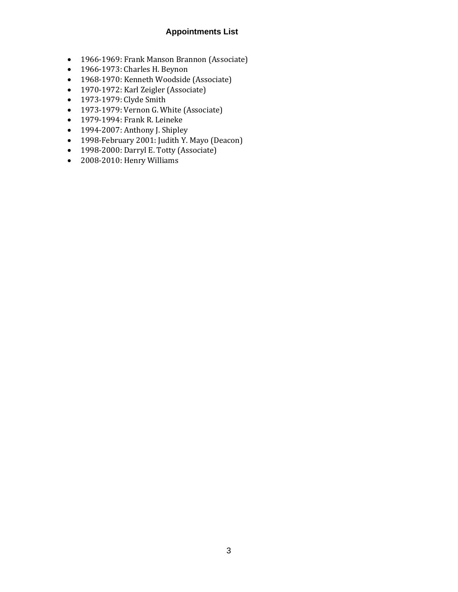#### **Appointments List**

- 1966-1969: Frank Manson Brannon (Associate)
- 1966-1973: Charles H. Beynon
- 1968-1970: Kenneth Woodside (Associate)
- 1970-1972: Karl Zeigler (Associate)
- 1973-1979: Clyde Smith
- 1973-1979: Vernon G. White (Associate)
- 1979-1994: Frank R. Leineke
- 1994-2007: Anthony J. Shipley
- 1998-February 2001: Judith Y. Mayo (Deacon)
- 1998-2000: Darryl E. Totty (Associate)
- 2008-2010: Henry Williams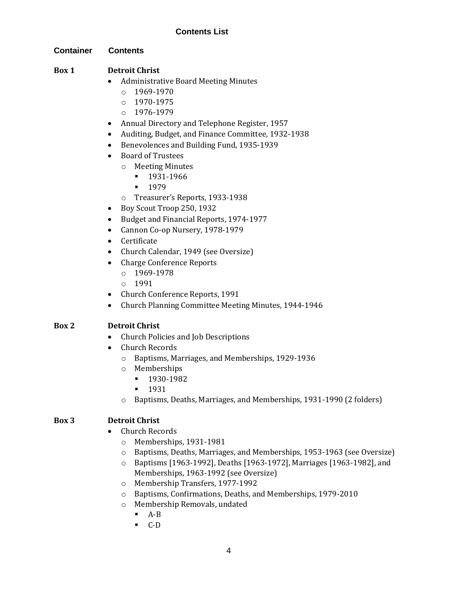#### **Container Contents**

#### **Box 1 Detroit Christ**

- Administrative Board Meeting Minutes
	- $O = 1969 1970$
	- o 1970-1975
	- $O$  1976-1979
- Annual Directory and Telephone Register, 1957
- Auditing, Budget, and Finance Committee, 1932-1938
- Benevolences and Building Fund, 1935-1939
- Board of Trustees
	- o Meeting Minutes
		- 1931-1966
		- 1979
	- o Treasurer's Reports, 1933-1938
- Boy Scout Troop 250, 1932
- Budget and Financial Reports, 1974-1977
- Cannon Co-op Nursery, 1978-1979
- Certificate
- Church Calendar, 1949 (see Oversize)
- Charge Conference Reports
	- o 1969-1978
	- o 1991
- Church Conference Reports, 1991
- Church Planning Committee Meeting Minutes, 1944-1946

#### **Box 2 Detroit Christ**

- Church Policies and Job Descriptions
- Church Records
	- o Baptisms, Marriages, and Memberships, 1929-1936
	- o Memberships
		- 1930-1982
		- 1931
	- o Baptisms, Deaths, Marriages, and Memberships, 1931-1990 (2 folders)

#### **Box 3 Detroit Christ**

- Church Records
	- o Memberships, 1931-1981
	- o Baptisms, Deaths, Marriages, and Memberships, 1953-1963 (see Oversize)
	- o Baptisms [1963-1992], Deaths [1963-1972], Marriages [1963-1982], and Memberships, 1963-1992 (see Oversize)
	- o Membership Transfers, 1977-1992
	- o Baptisms, Confirmations, Deaths, and Memberships, 1979-2010
	- o Membership Removals, undated
		- $A-B$ 
			- C-D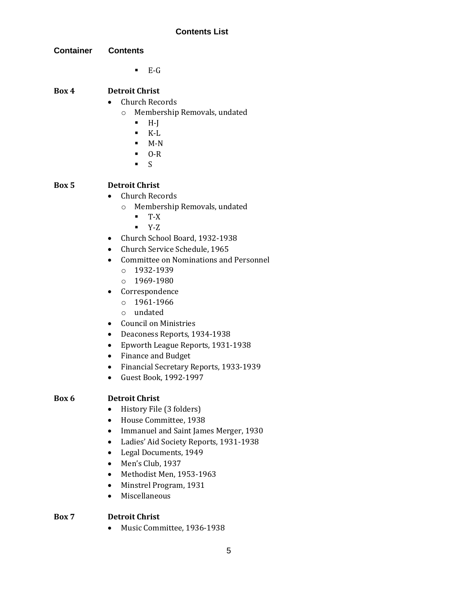| Container | <b>Contents</b>                                                                                                                                                                                                                                                                                                                                                                                                                                                                                                                                                                                                         |
|-----------|-------------------------------------------------------------------------------------------------------------------------------------------------------------------------------------------------------------------------------------------------------------------------------------------------------------------------------------------------------------------------------------------------------------------------------------------------------------------------------------------------------------------------------------------------------------------------------------------------------------------------|
|           | $E-G$<br>٠                                                                                                                                                                                                                                                                                                                                                                                                                                                                                                                                                                                                              |
| Box 4     | <b>Detroit Christ</b><br><b>Church Records</b><br>Membership Removals, undated<br>$\circ$<br>$H-J$<br>٠<br>$K-L$<br>٠<br>$M-N$<br>$\blacksquare$<br>$O-R$<br>S<br>п                                                                                                                                                                                                                                                                                                                                                                                                                                                     |
| Box 5     | <b>Detroit Christ</b><br><b>Church Records</b><br>Membership Removals, undated<br>$\circ$<br>$T-X$<br>٠<br>Y-Z<br>п<br>• Church School Board, 1932-1938<br>Church Service Schedule, 1965<br>$\bullet$<br><b>Committee on Nominations and Personnel</b><br>$\bullet$<br>1932-1939<br>$\circ$<br>$0 1969 - 1980$<br>Correspondence<br>٠<br>1961-1966<br>$\circ$<br>undated<br>$\circ$<br><b>Council on Ministries</b><br>Deaconess Reports, 1934-1938<br>$\bullet$<br>Epworth League Reports, 1931-1938<br>٠<br><b>Finance and Budget</b><br>Financial Secretary Reports, 1933-1939<br>$\bullet$<br>Guest Book, 1992-1997 |
| Box 6     | <b>Detroit Christ</b><br>History File (3 folders)<br>House Committee, 1938<br>$\bullet$<br>Immanuel and Saint James Merger, 1930<br>Ladies' Aid Society Reports, 1931-1938<br>Legal Documents, 1949<br>Men's Club, 1937<br>Methodist Men, 1953-1963                                                                                                                                                                                                                                                                                                                                                                     |

- Minstrel Program, 1931
- Miscellaneous

# **Box 7 Detroit Christ**

• Music Committee, 1936-1938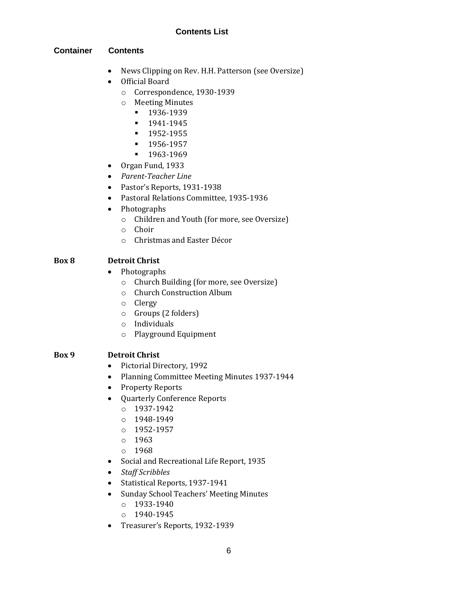#### **Container Contents**

- News Clipping on Rev. H.H. Patterson (see Oversize)
- Official Board
	- o Correspondence, 1930-1939
	- o Meeting Minutes
		- **■** 1936-1939
		- 1941-1945
		- 1952-1955
		- 1956-1957
		- 1963-1969
- Organ Fund, 1933
- *Parent-Teacher Line*
- Pastor's Reports, 1931-1938
- Pastoral Relations Committee, 1935-1936
- Photographs
	- o Children and Youth (for more, see Oversize)
	- o Choir
	- o Christmas and Easter Décor

#### **Box 8 Detroit Christ**

- Photographs
	- o Church Building (for more, see Oversize)
	- o Church Construction Album
	- o Clergy
	- o Groups (2 folders)
	- o Individuals
	- o Playground Equipment

#### **Box 9 Detroit Christ**

- Pictorial Directory, 1992
- Planning Committee Meeting Minutes 1937-1944
- Property Reports
- Quarterly Conference Reports
	- o 1937-1942
	- o 1948-1949
	- o 1952-1957
	- o 1963
	- $0.1968$
- Social and Recreational Life Report, 1935
- *Staff Scribbles*
- Statistical Reports, 1937-1941
- Sunday School Teachers' Meeting Minutes
	- o 1933-1940
	- o 1940-1945
- Treasurer's Reports, 1932-1939